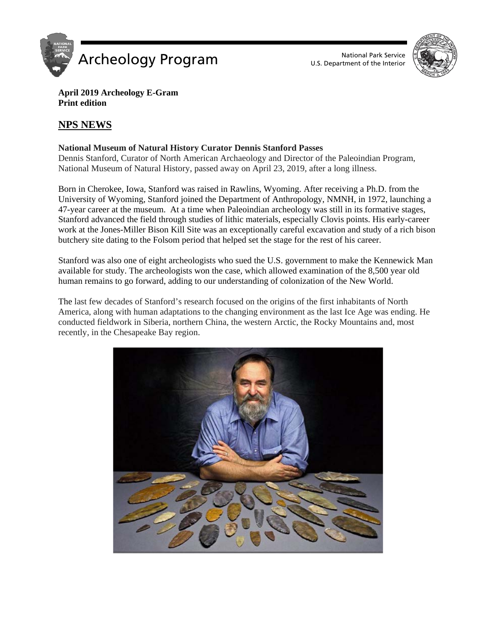



### **April 2019 Archeology E-Gram Print edition**

# **NPS NEWS**

## **National Museum of Natural History Curator Dennis Stanford Passes**

Dennis Stanford, Curator of North American Archaeology and Director of the Paleoindian Program, National Museum of Natural History, passed away on April 23, 2019, after a long illness.

Born in Cherokee, Iowa, Stanford was raised in Rawlins, Wyoming. After receiving a Ph.D. from the University of Wyoming, Stanford joined the Department of Anthropology, NMNH, in 1972, launching a 47-year career at the museum. At a time when Paleoindian archeology was still in its formative stages, Stanford advanced the field through studies of lithic materials, especially Clovis points. His early-career work at the Jones-Miller Bison Kill Site was an exceptionally careful excavation and study of a rich bison butchery site dating to the Folsom period that helped set the stage for the rest of his career.

Stanford was also one of eight archeologists who sued the U.S. government to make the Kennewick Man available for study. The archeologists won the case, which allowed examination of the 8,500 year old human remains to go forward, adding to our understanding of colonization of the New World.

The last few decades of Stanford's research focused on the origins of the first inhabitants of North America, along with human adaptations to the changing environment as the last Ice Age was ending. He conducted fieldwork in Siberia, northern China, the western Arctic, the Rocky Mountains and, most recently, in the Chesapeake Bay region.

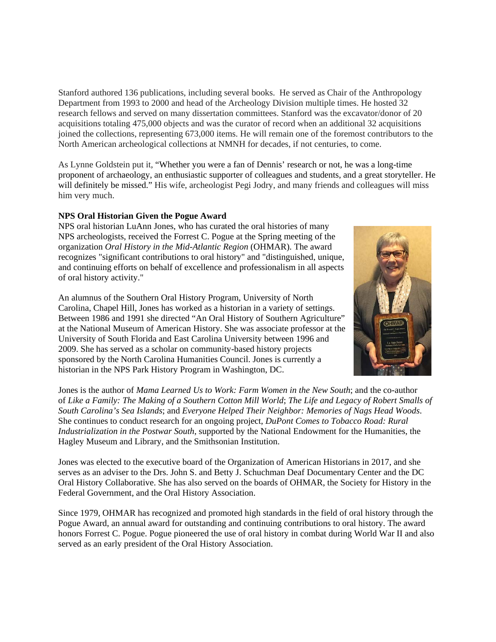Stanford authored 136 publications, including several books. He served as Chair of the Anthropology Department from 1993 to 2000 and head of the Archeology Division multiple times. He hosted 32 research fellows and served on many dissertation committees. Stanford was the excavator/donor of 20 acquisitions totaling 475,000 objects and was the curator of record when an additional 32 acquisitions joined the collections, representing 673,000 items. He will remain one of the foremost contributors to the North American archeological collections at NMNH for decades, if not centuries, to come.

As Lynne Goldstein put it, "Whether you were a fan of Dennis' research or not, he was a long-time proponent of archaeology, an enthusiastic supporter of colleagues and students, and a great storyteller. He will definitely be missed." His wife, archeologist Pegi Jodry, and many friends and colleagues will miss him very much.

### **NPS Oral Historian Given the Pogue Award**

NPS oral historian LuAnn Jones, who has curated the oral histories of many NPS archeologists, received the Forrest C. Pogue at the Spring meeting of the organization *Oral History in the Mid-Atlantic Region* (OHMAR). The award recognizes "significant contributions to oral history" and "distinguished, unique, and continuing efforts on behalf of excellence and professionalism in all aspects of oral history activity."

An alumnus of the Southern Oral History Program, University of North Carolina, Chapel Hill, Jones has worked as a historian in a variety of settings. Between 1986 and 1991 she directed "An Oral History of Southern Agriculture" at the National Museum of American History. She was associate professor at the University of South Florida and East Carolina University between 1996 and 2009. She has served as a scholar on community-based history projects sponsored by the North Carolina Humanities Council. Jones is currently a historian in the NPS Park History Program in Washington, DC.



Jones is the author of *Mama Learned Us to Work: Farm Women in the New South*; and the co-author of *Like a Family: The Making of a Southern Cotton Mill World*; *The Life and Legacy of Robert Smalls of South Carolina's Sea Islands*; and *Everyone Helped Their Neighbor: Memories of Nags Head Woods*. She continues to conduct research for an ongoing project, *DuPont Comes to Tobacco Road: Rural Industrialization in the Postwar South*, supported by the National Endowment for the Humanities, the Hagley Museum and Library, and the Smithsonian Institution.

Jones was elected to the executive board of the Organization of American Historians in 2017, and she serves as an adviser to the Drs. John S. and Betty J. Schuchman Deaf Documentary Center and the DC Oral History Collaborative. She has also served on the boards of OHMAR, the Society for History in the Federal Government, and the Oral History Association.

Since 1979, OHMAR has recognized and promoted high standards in the field of oral history through the Pogue Award, an annual award for outstanding and continuing contributions to oral history. The award honors Forrest C. Pogue. Pogue pioneered the use of oral history in combat during World War II and also served as an early president of the Oral History Association.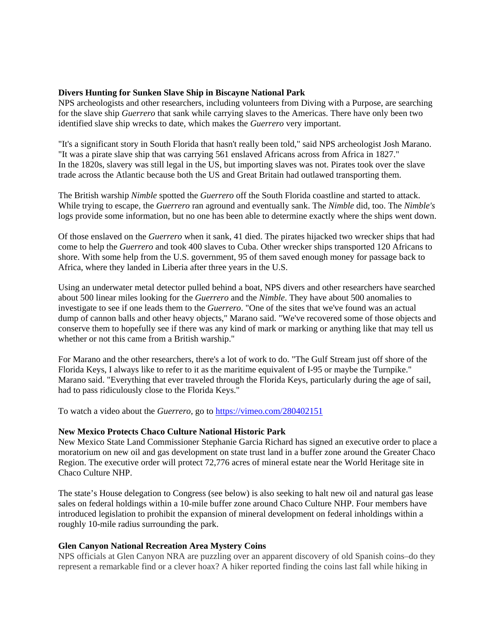#### **Divers Hunting for Sunken Slave Ship in Biscayne National Park**

NPS archeologists and other researchers, including volunteers from Diving with a Purpose, are searching for the slave ship *Guerrero* that sank while carrying slaves to the Americas. There have only been two identified slave ship wrecks to date, which makes the *Guerrero* very important.

"It's a significant story in South Florida that hasn't really been told," said NPS archeologist Josh Marano. "It was a pirate slave ship that was carrying 561 enslaved Africans across from Africa in 1827." In the 1820s, slavery was still legal in the US, but importing slaves was not. Pirates took over the slave trade across the Atlantic because both the US and Great Britain had outlawed transporting them.

The British warship *Nimble* spotted the *Guerrero* off the South Florida coastline and started to attack. While trying to escape, the *Guerrero* ran aground and eventually sank. The *Nimble* did, too. The *Nimble's*  logs provide some information, but no one has been able to determine exactly where the ships went down.

Of those enslaved on the *Guerrero* when it sank, 41 died. The pirates hijacked two wrecker ships that had come to help the *Guerrero* and took 400 slaves to Cuba. Other wrecker ships transported 120 Africans to shore. With some help from the U.S. government, 95 of them saved enough money for passage back to Africa, where they landed in Liberia after three years in the U.S.

Using an underwater metal detector pulled behind a boat, NPS divers and other researchers have searched about 500 linear miles looking for the *Guerrero* and the *Nimble*. They have about 500 anomalies to investigate to see if one leads them to the *Guerrero*. "One of the sites that we've found was an actual dump of cannon balls and other heavy objects," Marano said. "We've recovered some of those objects and conserve them to hopefully see if there was any kind of mark or marking or anything like that may tell us whether or not this came from a British warship."

For Marano and the other researchers, there's a lot of work to do. "The Gulf Stream just off shore of the Florida Keys, I always like to refer to it as the maritime equivalent of I-95 or maybe the Turnpike." Marano said. "Everything that ever traveled through the Florida Keys, particularly during the age of sail, had to pass ridiculously close to the Florida Keys."

To watch a video about the *Guerrero*, go to<https://vimeo.com/280402151>

#### **New Mexico Protects Chaco Culture National Historic Park**

New Mexico State Land Commissioner Stephanie Garcia Richard has signed an executive order to place a moratorium on new oil and gas development on state trust land in a buffer zone around the Greater Chaco Region. The executive order will protect 72,776 acres of mineral estate near the World Heritage site in Chaco Culture NHP.

The state's House delegation to Congress (see below) is also seeking to halt new oil and natural gas lease sales on federal holdings within a 10-mile buffer zone around Chaco Culture NHP. Four members have introduced legislation to prohibit the expansion of mineral development on federal inholdings within a roughly 10-mile radius surrounding the park.

#### **Glen Canyon National Recreation Area Mystery Coins**

NPS officials at Glen Canyon NRA are puzzling over an apparent discovery of old Spanish coins–do they represent a remarkable find or a clever hoax? A hiker reported finding the coins last fall while hiking in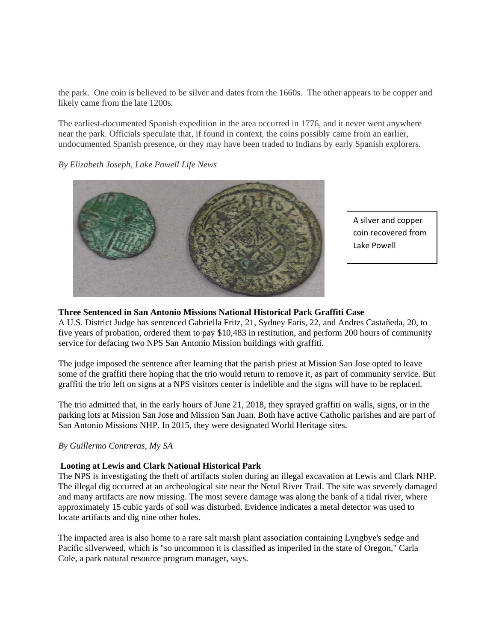the park. One coin is believed to be silver and dates from the 1660s. The other appears to be copper and likely came from the late 1200s.

The earliest-documented Spanish expedition in the area occurred in 1776, and it never went anywhere near the park. Officials speculate that, if found in context, the coins possibly came from an earlier, undocumented Spanish presence, or they may have been traded to Indians by early Spanish explorers.

*By Elizabeth Joseph, Lake Powell Life News*



A silver and copper coin recovered from Lake Powell

### **Three Sentenced in San Antonio Missions National Historical Park Graffiti Case**

A U.S. District Judge has sentenced Gabriella Fritz, 21, Sydney Faris, 22, and Andres Castañeda, 20, to five years of probation, ordered them to pay \$10,483 in restitution, and perform 200 hours of community service for defacing two NPS San Antonio Mission buildings with graffiti.

The judge imposed the sentence after learning that the parish priest at Mission San Jose opted to leave some of the graffiti there hoping that the trio would return to remove it, as part of community service. But graffiti the trio left on signs at a NPS visitors center is indelible and the signs will have to be replaced.

The trio admitted that, in the early hours of June 21, 2018, they sprayed graffiti on walls, signs, or in the parking lots at Mission San Jose and Mission San Juan. Both have active Catholic parishes and are part of San Antonio Missions NHP. In 2015, they were designated World Heritage sites.

### *By Guillermo Contreras, My SA*

### **Looting at Lewis and Clark National Historical Park**

The NPS is investigating the theft of artifacts stolen during an illegal excavation at Lewis and Clark NHP. The illegal dig occurred at an archeological site near the Netul River Trail. The site was severely damaged and many artifacts are now missing. The most severe damage was along the bank of a tidal river, where approximately 15 cubic yards of soil was disturbed. Evidence indicates a metal detector was used to locate artifacts and dig nine other holes.

The impacted area is also home to a rare salt marsh plant association containing Lyngbye's sedge and Pacific silverweed, which is "so uncommon it is classified as imperiled in the state of Oregon," Carla Cole, a park natural resource program manager, says.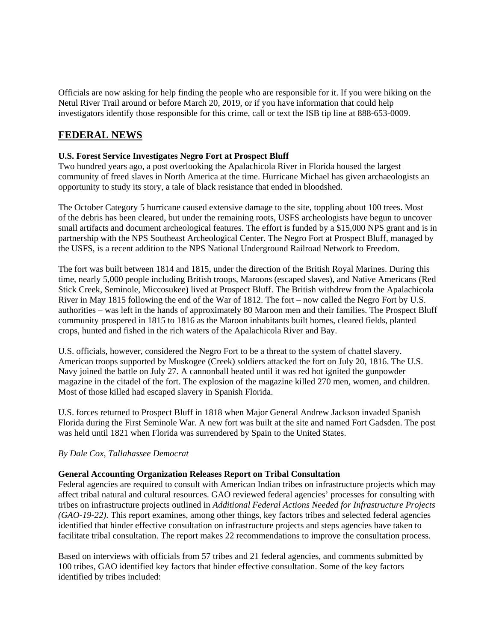Officials are now asking for help finding the people who are responsible for it. If you were hiking on the Netul River Trail around or before March 20, 2019, or if you have information that could help investigators identify those responsible for this crime, call or text the ISB tip line at 888-653-0009.

# **FEDERAL NEWS**

## **U.S. Forest Service Investigates Negro Fort at Prospect Bluff**

Two hundred years ago, a post overlooking the Apalachicola River in Florida housed the largest community of freed slaves in North America at the time. Hurricane Michael has given archaeologists an opportunity to study its story, a tale of black resistance that ended in bloodshed.

The October Category 5 hurricane caused extensive damage to the site, toppling about 100 trees. Most of the debris has been cleared, but under the remaining roots, USFS archeologists have begun to uncover small artifacts and document archeological features. The effort is funded by a \$15,000 NPS grant and is in partnership with the NPS Southeast Archeological Center. The Negro Fort at Prospect Bluff, managed by the USFS, is a recent addition to the NPS National Underground Railroad Network to Freedom.

The fort was built between 1814 and 1815, under the direction of the British Royal Marines. During this time, nearly 5,000 people including British troops, Maroons (escaped slaves), and Native Americans (Red Stick Creek, Seminole, Miccosukee) lived at Prospect Bluff. The British withdrew from the Apalachicola River in May 1815 following the end of the War of 1812. The fort – now called the Negro Fort by U.S. authorities – was left in the hands of approximately 80 Maroon men and their families. The Prospect Bluff community prospered in 1815 to 1816 as the Maroon inhabitants built homes, cleared fields, planted crops, hunted and fished in the rich waters of the Apalachicola River and Bay.

U.S. officials, however, considered the Negro Fort to be a threat to the system of chattel slavery. American troops supported by Muskogee (Creek) soldiers attacked the fort on July 20, 1816. The U.S. Navy joined the battle on July 27. A cannonball heated until it was red hot ignited the gunpowder magazine in the citadel of the fort. The explosion of the magazine killed 270 men, women, and children. Most of those killed had escaped slavery in Spanish Florida.

U.S. forces returned to Prospect Bluff in 1818 when Major General Andrew Jackson invaded Spanish Florida during the First Seminole War. A new fort was built at the site and named Fort Gadsden. The post was held until 1821 when Florida was surrendered by Spain to the United States.

### *By Dale Cox, Tallahassee Democrat*

### **General Accounting Organization Releases Report on Tribal Consultation**

Federal agencies are required to consult with American Indian tribes on infrastructure projects which may affect tribal natural and cultural resources. GAO reviewed federal agencies' processes for consulting with tribes on infrastructure projects outlined in *Additional Federal Actions Needed for Infrastructure Projects (GAO-19-22)*. This report examines, among other things, key factors tribes and selected federal agencies identified that hinder effective consultation on infrastructure projects and steps agencies have taken to facilitate tribal consultation. The report makes 22 recommendations to improve the consultation process.

Based on interviews with officials from 57 tribes and 21 federal agencies, and comments submitted by 100 tribes, GAO identified key factors that hinder effective consultation. Some of the key factors identified by tribes included: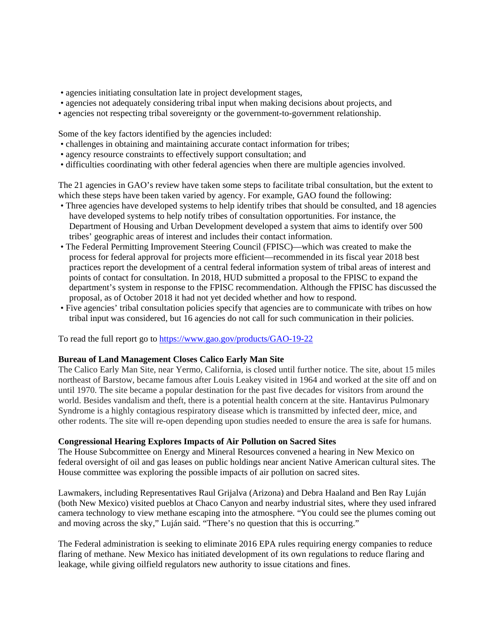- agencies initiating consultation late in project development stages,
- agencies not adequately considering tribal input when making decisions about projects, and
- agencies not respecting tribal sovereignty or the government-to-government relationship.

Some of the key factors identified by the agencies included:

- challenges in obtaining and maintaining accurate contact information for tribes;
- agency resource constraints to effectively support consultation; and
- difficulties coordinating with other federal agencies when there are multiple agencies involved.

The 21 agencies in GAO's review have taken some steps to facilitate tribal consultation, but the extent to which these steps have been taken varied by agency. For example, GAO found the following:

- Three agencies have developed systems to help identify tribes that should be consulted, and 18 agencies have developed systems to help notify tribes of consultation opportunities. For instance, the Department of Housing and Urban Development developed a system that aims to identify over 500 tribes' geographic areas of interest and includes their contact information.
- The Federal Permitting Improvement Steering Council (FPISC)—which was created to make the process for federal approval for projects more efficient—recommended in its fiscal year 2018 best practices report the development of a central federal information system of tribal areas of interest and points of contact for consultation. In 2018, HUD submitted a proposal to the FPISC to expand the department's system in response to the FPISC recommendation. Although the FPISC has discussed the proposal, as of October 2018 it had not yet decided whether and how to respond.
- Five agencies' tribal consultation policies specify that agencies are to communicate with tribes on how tribal input was considered, but 16 agencies do not call for such communication in their policies.

To read the full report go to<https://www.gao.gov/products/GAO-19-22>

### **Bureau of Land Management Closes Calico Early Man Site**

The Calico Early Man Site, near Yermo, California, is closed until further notice. The site, about 15 miles northeast of Barstow, became famous after Louis Leakey visited in 1964 and worked at the site off and on until 1970. The site became a popular destination for the past five decades for visitors from around the world. Besides vandalism and theft, there is a potential health concern at the site. Hantavirus Pulmonary Syndrome is a highly contagious respiratory disease which is transmitted by infected deer, mice, and other rodents. The site will re-open depending upon studies needed to ensure the area is safe for humans.

### **Congressional Hearing Explores Impacts of Air Pollution on Sacred Sites**

The House Subcommittee on Energy and Mineral Resources convened a hearing in New Mexico on federal oversight of oil and gas leases on public holdings near ancient Native American cultural sites. The House committee was exploring the possible impacts of air pollution on sacred sites.

Lawmakers, including Representatives Raul Grijalva (Arizona) and Debra Haaland and Ben Ray Luján (both New Mexico) visited pueblos at Chaco Canyon and nearby industrial sites, where they used infrared camera technology to view methane escaping into the atmosphere. "You could see the plumes coming out and moving across the sky," Luján said. "There's no question that this is occurring."

The Federal administration is seeking to eliminate 2016 EPA rules requiring energy companies to reduce flaring of methane. New Mexico has initiated development of its own regulations to reduce flaring and leakage, while giving oilfield regulators new authority to issue citations and fines.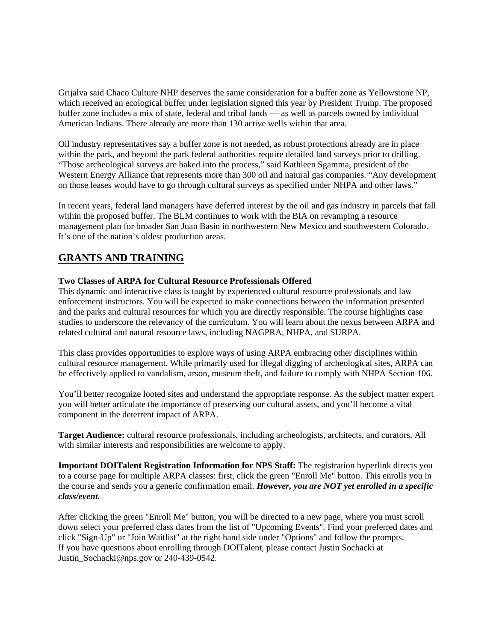Grijalva said Chaco Culture NHP deserves the same consideration for a buffer zone as Yellowstone NP, which received an ecological buffer under legislation signed this year by President Trump. The proposed buffer zone includes a mix of state, federal and tribal lands — as well as parcels owned by individual American Indians. There already are more than 130 active wells within that area.

Oil industry representatives say a buffer zone is not needed, as robust protections already are in place within the park, and beyond the park federal authorities require detailed land surveys prior to drilling. "Those archeological surveys are baked into the process," said Kathleen Sgamma, president of the Western Energy Alliance that represents more than 300 oil and natural gas companies. "Any development on those leases would have to go through cultural surveys as specified under NHPA and other laws."

In recent years, federal land managers have deferred interest by the oil and gas industry in parcels that fall within the proposed buffer. The BLM continues to work with the BIA on revamping a resource management plan for broader San Juan Basin in northwestern New Mexico and southwestern Colorado. It's one of the nation's oldest production areas.

## **GRANTS AND TRAINING**

### **Two Classes of ARPA for Cultural Resource Professionals Offered**

This dynamic and interactive class is taught by experienced cultural resource professionals and law enforcement instructors. You will be expected to make connections between the information presented and the parks and cultural resources for which you are directly responsible. The course highlights case studies to underscore the relevancy of the curriculum. You will learn about the nexus between ARPA and related cultural and natural resource laws, including NAGPRA, NHPA, and SURPA.

This class provides opportunities to explore ways of using ARPA embracing other disciplines within cultural resource management. While primarily used for illegal digging of archeological sites, ARPA can be effectively applied to vandalism, arson, museum theft, and failure to comply with NHPA Section 106.

You'll better recognize looted sites and understand the appropriate response. As the subject matter expert you will better articulate the importance of preserving our cultural assets, and you'll become a vital component in the deterrent impact of ARPA.

**Target Audience:** cultural resource professionals, including archeologists, architects, and curators. All with similar interests and responsibilities are welcome to apply.

**Important DOITalent Registration Information for NPS Staff:** The registration hyperlink directs you to a course page for multiple ARPA classes: first, click the green "Enroll Me" button. This enrolls you in the course and sends you a generic confirmation email. *However, you are NOT yet enrolled in a specific class/event.*

After clicking the green "Enroll Me" button, you will be directed to a new page, where you must scroll down select your preferred class dates from the list of "Upcoming Events". Find your preferred dates and click "Sign-Up" or "Join Waitlist" at the right hand side under "Options" and follow the prompts. If you have questions about enrolling through DOITalent, please contact Justin Sochacki at Justin\_Sochacki@nps.gov or 240-439-0542.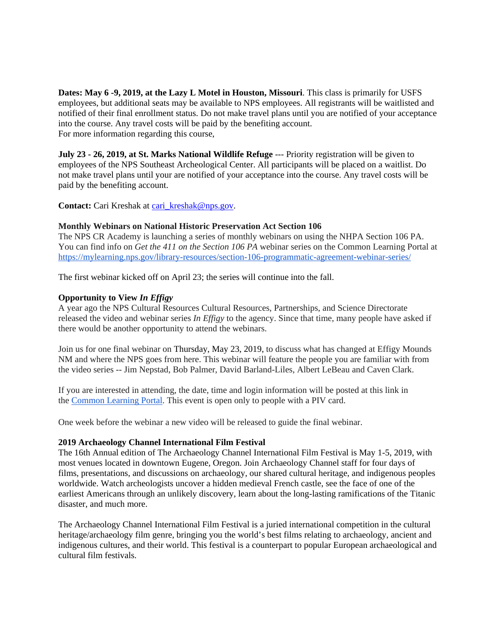**Dates: May 6 -9, 2019, at the Lazy L Motel in Houston, Missouri**. This class is primarily for USFS employees, but additional seats may be available to NPS employees. All registrants will be waitlisted and notified of their final enrollment status. Do not make travel plans until you are notified of your acceptance into the course. Any travel costs will be paid by the benefiting account. For more information regarding this course,

**July 23 - 26, 2019, at St. Marks National Wildlife Refuge** --- Priority registration will be given to employees of the NPS Southeast Archeological Center. All participants will be placed on a waitlist. Do not make travel plans until your are notified of your acceptance into the course. Any travel costs will be paid by the benefiting account.

Contact: Cari Kreshak at cari kreshak@nps.gov.

#### **Monthly Webinars on National Historic Preservation Act Section 106**

The NPS CR Academy is launching a series of monthly webinars on using the NHPA Section 106 PA. You can find info on *Get the 411 on the Section 106 PA* webinar series on the Common Learning Portal at <https://mylearning.nps.gov/library-resources/section-106-programmatic-agreement-webinar-series/>

The first webinar kicked off on April 23; the series will continue into the fall.

#### **Opportunity to View** *In Effigy*

A year ago the NPS Cultural Resources Cultural Resources, Partnerships, and Science Directorate released the video and webinar series *In Effigy* to the agency. Since that time, many people have asked if there would be another opportunity to attend the webinars.

Join us for one final webinar on Thursday, May 23, 2019, to discuss what has changed at Effigy Mounds NM and where the NPS goes from here. This webinar will feature the people you are familiar with from the video series -- Jim Nepstad, Bob Palmer, David Barland-Liles, Albert LeBeau and Caven Clark.

If you are interested in attending, the date, time and login information will be posted at this link in the [Common Learning Portal.](https://mylearning.nps.gov/groups/in-effigy-training-series/forum/topic/final-webinar-return-to-effigy-mounds/) This event is open only to people with a PIV card.

One week before the webinar a new video will be released to guide the final webinar.

#### **2019 Archaeology Channel International Film Festival**

The 16th Annual edition of The Archaeology Channel International Film Festival is May 1-5, 2019, with most venues located in downtown Eugene, Oregon. Join Archaeology Channel staff for four days of films, presentations, and discussions on archaeology, our shared cultural heritage, and indigenous peoples worldwide. Watch archeologists uncover a hidden medieval French castle, see the face of one of the earliest Americans through an unlikely discovery, learn about the long-lasting ramifications of the Titanic disaster, and much more.

The Archaeology Channel International Film Festival is a juried international competition in the cultural heritage/archaeology film genre, bringing you the world's best films relating to archaeology, ancient and indigenous cultures, and their world. This festival is a counterpart to popular European archaeological and cultural film festivals.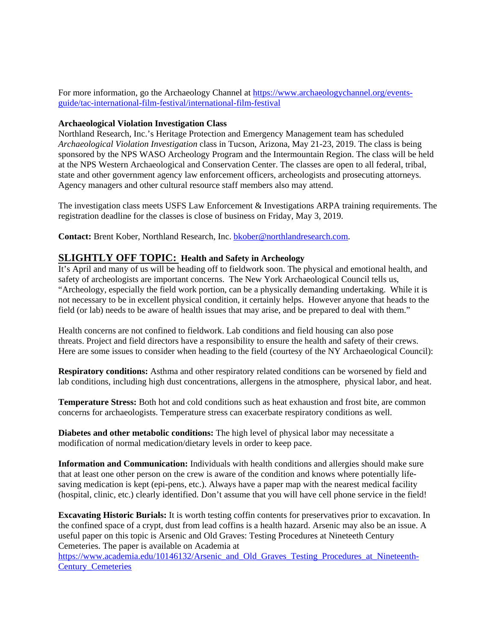For more information, go the Archaeology Channel at [https://www.archaeologychannel.org/events](https://www.archaeologychannel.org/events-guide/tac-international-film-festival/international-film-festival)[guide/tac-international-film-festival/international-film-festival](https://www.archaeologychannel.org/events-guide/tac-international-film-festival/international-film-festival)

#### **Archaeological Violation Investigation Class**

Northland Research, Inc.'s Heritage Protection and Emergency Management team has scheduled *Archaeological Violation Investigation* class in Tucson, Arizona, May 21-23, 2019. The class is being sponsored by the NPS WASO Archeology Program and the Intermountain Region. The class will be held at the NPS Western Archaeological and Conservation Center. The classes are open to all federal, tribal, state and other government agency law enforcement officers, archeologists and prosecuting attorneys. Agency managers and other cultural resource staff members also may attend.

The investigation class meets USFS Law Enforcement & Investigations ARPA training requirements. The registration deadline for the classes is close of business on Friday, May 3, 2019.

**Contact:** Brent Kober, Northland Research, Inc. [bkober@northlandresearch.com.](mailto:bkober@northlandresearch.com)

## **SLIGHTLY OFF TOPIC: Health and Safety in Archeology**

It's April and many of us will be heading off to fieldwork soon. The physical and emotional health, and safety of archeologists are important concerns. The New York Archaeological Council tells us, "Archeology, especially the field work portion, can be a physically demanding undertaking. While it is not necessary to be in excellent physical condition, it certainly helps. However anyone that heads to the field (or lab) needs to be aware of health issues that may arise, and be prepared to deal with them."

Health concerns are not confined to fieldwork. Lab conditions and field housing can also pose threats. Project and field directors have a responsibility to ensure the health and safety of their crews. Here are some issues to consider when heading to the field (courtesy of the NY Archaeological Council):

**Respiratory conditions:** Asthma and other respiratory related conditions can be worsened by field and lab conditions, including high dust concentrations, allergens in the atmosphere, physical labor, and heat.

**Temperature Stress:** Both hot and cold conditions such as heat exhaustion and frost bite, are common concerns for archaeologists. Temperature stress can exacerbate respiratory conditions as well.

**Diabetes and other metabolic conditions:** The high level of physical labor may necessitate a modification of normal medication/dietary levels in order to keep pace.

**Information and Communication:** Individuals with health conditions and allergies should make sure that at least one other person on the crew is aware of the condition and knows where potentially lifesaving medication is kept (epi-pens, etc.). Always have a paper map with the nearest medical facility (hospital, clinic, etc.) clearly identified. Don't assume that you will have cell phone service in the field!

**Excavating Historic Burials:** It is worth testing coffin contents for preservatives prior to excavation. In the confined space of a crypt, dust from lead coffins is a health hazard. Arsenic may also be an issue. A useful paper on this topic is Arsenic and Old Graves: Testing Procedures at Nineteeth Century Cemeteries. The paper is available on Academia at

[https://www.academia.edu/10146132/Arsenic\\_and\\_Old\\_Graves\\_Testing\\_Procedures\\_at\\_Nineteenth-](https://www.academia.edu/10146132/Arsenic_and_Old_Graves_Testing_Procedures_at_Nineteenth-Century_Cemeteries)[Century\\_Cemeteries](https://www.academia.edu/10146132/Arsenic_and_Old_Graves_Testing_Procedures_at_Nineteenth-Century_Cemeteries)